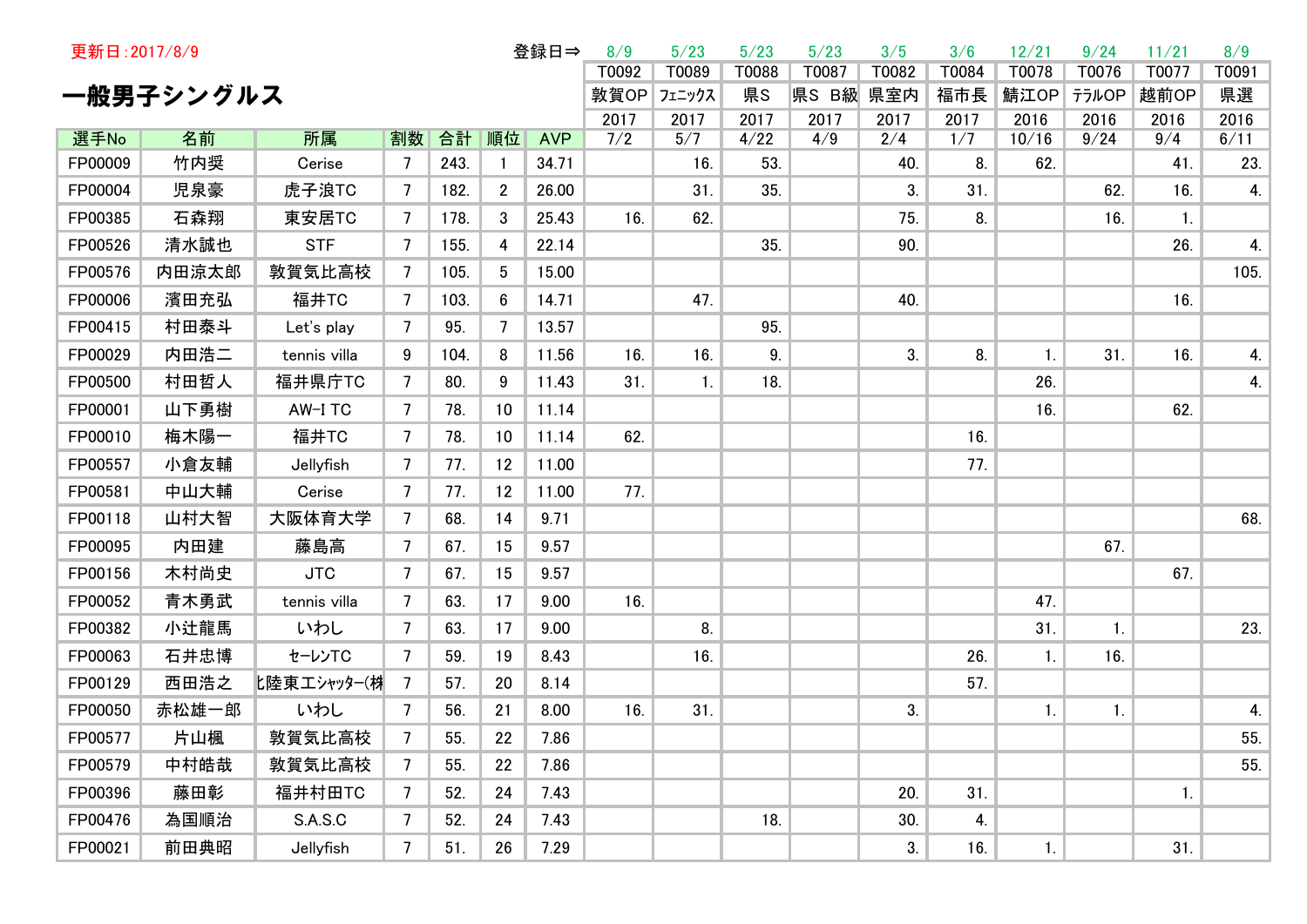| 更新日: 2017/8/9 |           | 8/9          | 5/23           | 5/23 | 5/23        | 3/5        | 3/6   | 12/21     | 9/24  | 11/21 | 8/9   |       |       |                |                |      |
|---------------|-----------|--------------|----------------|------|-------------|------------|-------|-----------|-------|-------|-------|-------|-------|----------------|----------------|------|
|               |           |              |                |      |             | T0092      | T0089 | T0088     | T0087 | T0082 | T0084 | T0078 | T0076 | T0077          | T0091          |      |
|               | 一般男子シングルス |              |                |      | 敦賀OP フェニックス |            | 県S    | 県S B級 県室内 |       | 福市長   | 鯖江OP  | テラルOP | 越前OP  | 県選             |                |      |
|               |           | 2017         | 2017           | 2017 | 2017        | 2017       | 2017  | 2016      | 2016  | 2016  | 2016  |       |       |                |                |      |
| 選手No          | 名前        | 所属           | 割数             | 合計   | 順位          | <b>AVP</b> | 7/2   | 5/7       | 4/22  | 4/9   | 2/4   | 1/7   | 10/16 | 9/24           | 9/4            | 6/11 |
| FP00009       | 竹内奨       | Cerise       | 7              | 243. |             | 34.71      |       | 16.       | 53.   |       | 40.   | 8.    | 62.   |                | 41.            | 23.  |
| FP00004       | 児泉豪       | 虎子浪TC        | 7              | 182. | 2           | 26.00      |       | 31.       | 35.   |       | 3.    | 31.   |       | 62.            | 16.            | 4.   |
| FP00385       | 石森翔       | 東安居TC        | 7              | 178. | 3           | 25.43      | 16.   | 62.       |       |       | 75.   | 8.    |       | 16.            | $\mathbf{1}$ . |      |
| FP00526       | 清水誠也      | <b>STF</b>   | 7              | 155. | 4           | 22.14      |       |           | 35.   |       | 90.   |       |       |                | 26.            | 4.   |
| FP00576       | 内田涼太郎     | 敦賀気比高校       | 7              | 105. | 5           | 15.00      |       |           |       |       |       |       |       |                |                | 105. |
| FP00006       | 濱田充弘      | 福井TC         | 7              | 103. | 6           | 14.71      |       | 47.       |       |       | 40.   |       |       |                | 16.            |      |
| FP00415       | 村田泰斗      | Let's play   | 7              | 95.  | 7           | 13.57      |       |           | 95.   |       |       |       |       |                |                |      |
| FP00029       | 内田浩二      | tennis villa | 9              | 104. | 8           | 11.56      | 16.   | 16.       | 9.    |       | 3.    | 8.    | 1.    | 31.            | 16.            | 4.   |
| FP00500       | 村田哲人      | 福井県庁TC       | 7              | 80.  | 9           | 11.43      | 31.   | 1.        | 18.   |       |       |       | 26.   |                |                | 4.   |
| FP00001       | 山下勇樹      | AW-I TC      | $\overline{7}$ | 78.  | 10          | 11.14      |       |           |       |       |       |       | 16.   |                | 62.            |      |
| FP00010       | 梅木陽一      | 福井TC         | 7              | 78.  | 10          | 11.14      | 62.   |           |       |       |       | 16.   |       |                |                |      |
| FP00557       | 小倉友輔      | Jellyfish    | 7              | 77.  | 12          | 11.00      |       |           |       |       |       | 77.   |       |                |                |      |
| FP00581       | 中山大輔      | Cerise       | 7              | 77.  | 12          | 11.00      | 77.   |           |       |       |       |       |       |                |                |      |
| FP00118       | 山村大智      | 大阪体育大学       | 7              | 68.  | 14          | 9.71       |       |           |       |       |       |       |       |                |                | 68.  |
| FP00095       | 内田建       | 藤島高          | 7              | 67.  | 15          | 9.57       |       |           |       |       |       |       |       | 67.            |                |      |
| FP00156       | 木村尚史      | <b>JTC</b>   | 7              | 67.  | 15          | 9.57       |       |           |       |       |       |       |       |                | 67.            |      |
| FP00052       | 青木勇武      | tennis villa | 7              | 63.  | 17          | 9.00       | 16.   |           |       |       |       |       | 47.   |                |                |      |
| FP00382       | 小辻龍馬      | いわし          | 7              | 63.  | 17          | 9.00       |       | 8.        |       |       |       |       | 31.   | $\mathbf{1}$ . |                | 23.  |
| FP00063       | 石井忠博      | セーレンTC       | 7              | 59.  | 19          | 8.43       |       | 16.       |       |       |       | 26.   | 1.    | 16.            |                |      |
| FP00129       | 西田浩之      | 匕陸東エシャッター(材  | 7              | 57.  | 20          | 8.14       |       |           |       |       |       | 57.   |       |                |                |      |
| FP00050       | 赤松雄一郎     | いわし          | 7              | 56.  | 21          | 8.00       | 16.   | 31.       |       |       | 3.    |       | 1.    | 1.             |                | 4.   |
| FP00577       | 片山楓       | 敦賀気比高校       | 7              | 55.  | 22          | 7.86       |       |           |       |       |       |       |       |                |                | 55.  |
| FP00579       | 中村皓哉      | 敦賀気比高校       | 7              | 55.  | 22          | 7.86       |       |           |       |       |       |       |       |                |                | 55.  |
| FP00396       | 藤田彰       | 福井村田TC       | 7              | 52.  | 24          | 7.43       |       |           |       |       | 20.   | 31.   |       |                | 1.             |      |
| FP00476       | 為国順治      | S.A.S.C      | 7              | 52.  | 24          | 7.43       |       |           | 18.   |       | 30.   | 4.    |       |                |                |      |
| FP00021       | 前田典昭      | Jellyfish    | 7              | 51.  | 26          | 7.29       |       |           |       |       | 3.    | 16.   | 1.    |                | 31.            |      |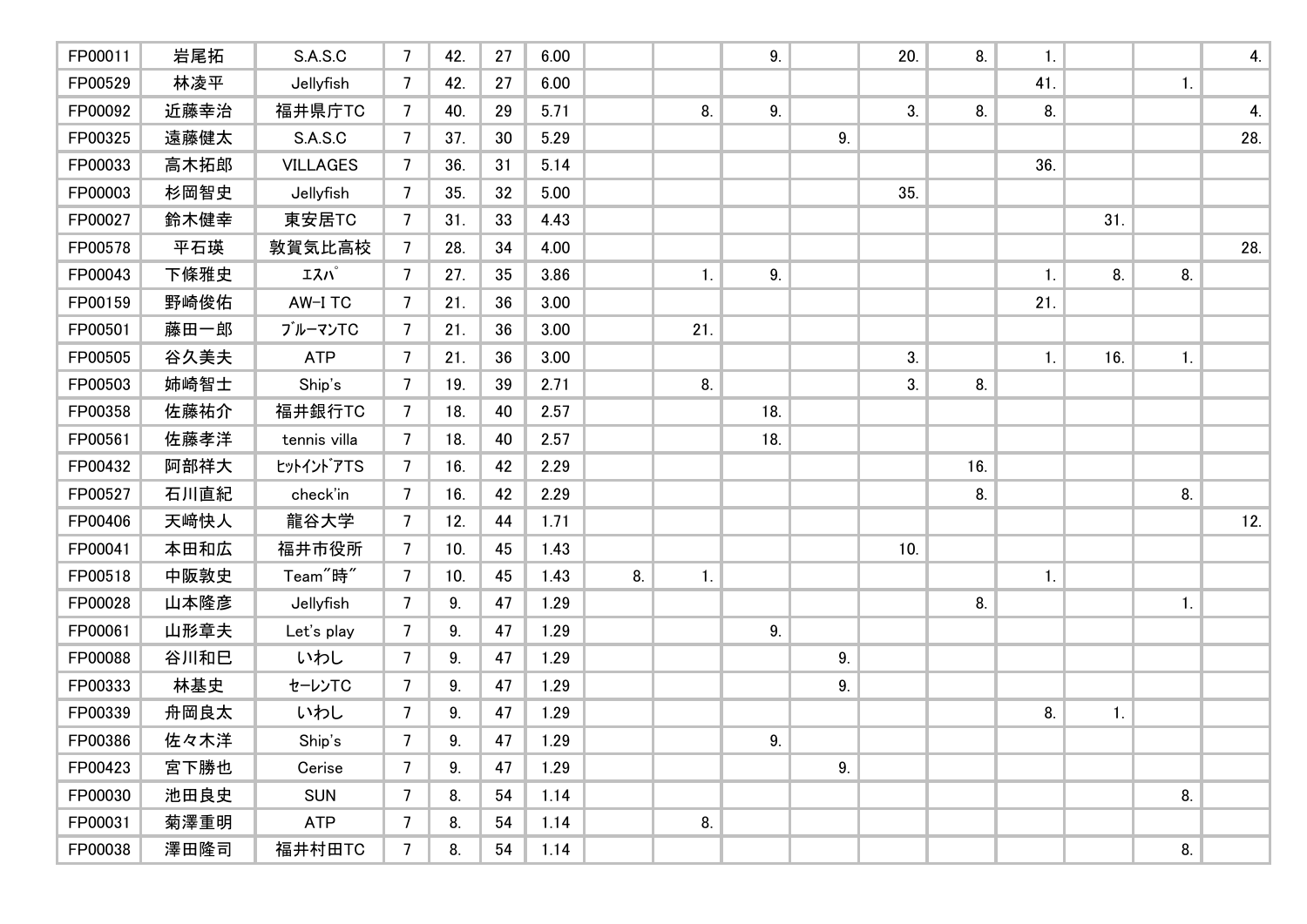| FP00011 | 岩尾拓  | S.A.S.C              | $7\overline{ }$ | 42. | 27 | 6.00 |    |                | 9.  |    | 20. | 8.  | 1.             |                |                | 4.  |
|---------|------|----------------------|-----------------|-----|----|------|----|----------------|-----|----|-----|-----|----------------|----------------|----------------|-----|
| FP00529 | 林凌平  | Jellyfish            | 7               | 42. | 27 | 6.00 |    |                |     |    |     |     | 41.            |                | $\mathbf{1}$ . |     |
| FP00092 | 近藤幸治 | 福井県庁TC               | 7               | 40. | 29 | 5.71 |    | 8.             | 9.  |    | 3.  | 8.  | 8.             |                |                | 4.  |
| FP00325 | 遠藤健太 | S.A.S.C              | 7               | 37. | 30 | 5.29 |    |                |     | 9. |     |     |                |                |                | 28. |
| FP00033 | 高木拓郎 | <b>VILLAGES</b>      | 7               | 36. | 31 | 5.14 |    |                |     |    |     |     | 36.            |                |                |     |
| FP00003 | 杉岡智史 | Jellyfish            | $\overline{7}$  | 35. | 32 | 5.00 |    |                |     |    | 35. |     |                |                |                |     |
| FP00027 | 鈴木健幸 | 東安居TC                | 7               | 31. | 33 | 4.43 |    |                |     |    |     |     |                | 31.            |                |     |
| FP00578 | 平石瑛  | 敦賀気比高校               | 7               | 28. | 34 | 4.00 |    |                |     |    |     |     |                |                |                | 28. |
| FP00043 | 下條雅史 | エスパ                  | 7               | 27. | 35 | 3.86 |    | 1 <sub>1</sub> | 9.  |    |     |     | $\mathbf{1}$ . | 8.             | 8.             |     |
| FP00159 | 野崎俊佑 | AW-I TC              | $\overline{7}$  | 21. | 36 | 3.00 |    |                |     |    |     |     | 21.            |                |                |     |
| FP00501 | 藤田一郎 | ブルーマンTC              | 7               | 21. | 36 | 3.00 |    | 21.            |     |    |     |     |                |                |                |     |
| FP00505 | 谷久美夫 | <b>ATP</b>           | $\overline{7}$  | 21. | 36 | 3.00 |    |                |     |    | 3.  |     | 1.             | 16.            | $\mathbf{1}$ . |     |
| FP00503 | 姉崎智士 | Ship's               | 7               | 19. | 39 | 2.71 |    | 8.             |     |    | 3.  | 8.  |                |                |                |     |
| FP00358 | 佐藤祐介 | 福井銀行TC               | $\overline{7}$  | 18. | 40 | 2.57 |    |                | 18. |    |     |     |                |                |                |     |
| FP00561 | 佐藤孝洋 | tennis villa         | $\overline{7}$  | 18. | 40 | 2.57 |    |                | 18. |    |     |     |                |                |                |     |
| FP00432 | 阿部祥大 | tットイントアTS            | $\overline{7}$  | 16. | 42 | 2.29 |    |                |     |    |     | 16. |                |                |                |     |
| FP00527 | 石川直紀 | check'in             | $\overline{7}$  | 16. | 42 | 2.29 |    |                |     |    |     | 8.  |                |                | 8.             |     |
| FP00406 | 天崎快人 | 龍谷大学                 | $7\overline{ }$ | 12. | 44 | 1.71 |    |                |     |    |     |     |                |                |                | 12. |
| FP00041 | 本田和広 | 福井市役所                | 7               | 10. | 45 | 1.43 |    |                |     |    | 10. |     |                |                |                |     |
| FP00518 | 中阪敦史 | Team <sup>"</sup> 時" | 7               | 10. | 45 | 1.43 | 8. | 1.             |     |    |     |     | 1.             |                |                |     |
| FP00028 | 山本隆彦 | Jellyfish            | 7               | 9.  | 47 | 1.29 |    |                |     |    |     | 8.  |                |                | $\mathbf{1}$ . |     |
| FP00061 | 山形章夫 | Let's play           | 7               | 9.  | 47 | 1.29 |    |                | 9.  |    |     |     |                |                |                |     |
| FP00088 | 谷川和巳 | いわし                  | $\overline{7}$  | 9.  | 47 | 1.29 |    |                |     | 9. |     |     |                |                |                |     |
| FP00333 | 林基史  | セーレンTC               | 7               | 9.  | 47 | 1.29 |    |                |     | 9. |     |     |                |                |                |     |
| FP00339 | 舟岡良太 | いわし                  | $\overline{7}$  | 9.  | 47 | 1.29 |    |                |     |    |     |     | 8.             | $\mathbf{1}$ . |                |     |
| FP00386 | 佐々木洋 | Ship's               | 7 <sup>7</sup>  | 9.  | 47 | 1.29 |    |                | 9.  |    |     |     |                |                |                |     |
| FP00423 | 宮下勝也 | Cerise               | 7               | 9.  | 47 | 1.29 |    |                |     | 9. |     |     |                |                |                |     |
| FP00030 | 池田良史 | <b>SUN</b>           | $\overline{7}$  | 8.  | 54 | 1.14 |    |                |     |    |     |     |                |                | 8.             |     |
| FP00031 | 菊澤重明 | <b>ATP</b>           | $\overline{7}$  | 8.  | 54 | 1.14 |    | 8.             |     |    |     |     |                |                |                |     |
| FP00038 | 澤田隆司 | 福井村田TC               | $\overline{7}$  | 8.  | 54 | 1.14 |    |                |     |    |     |     |                |                | 8.             |     |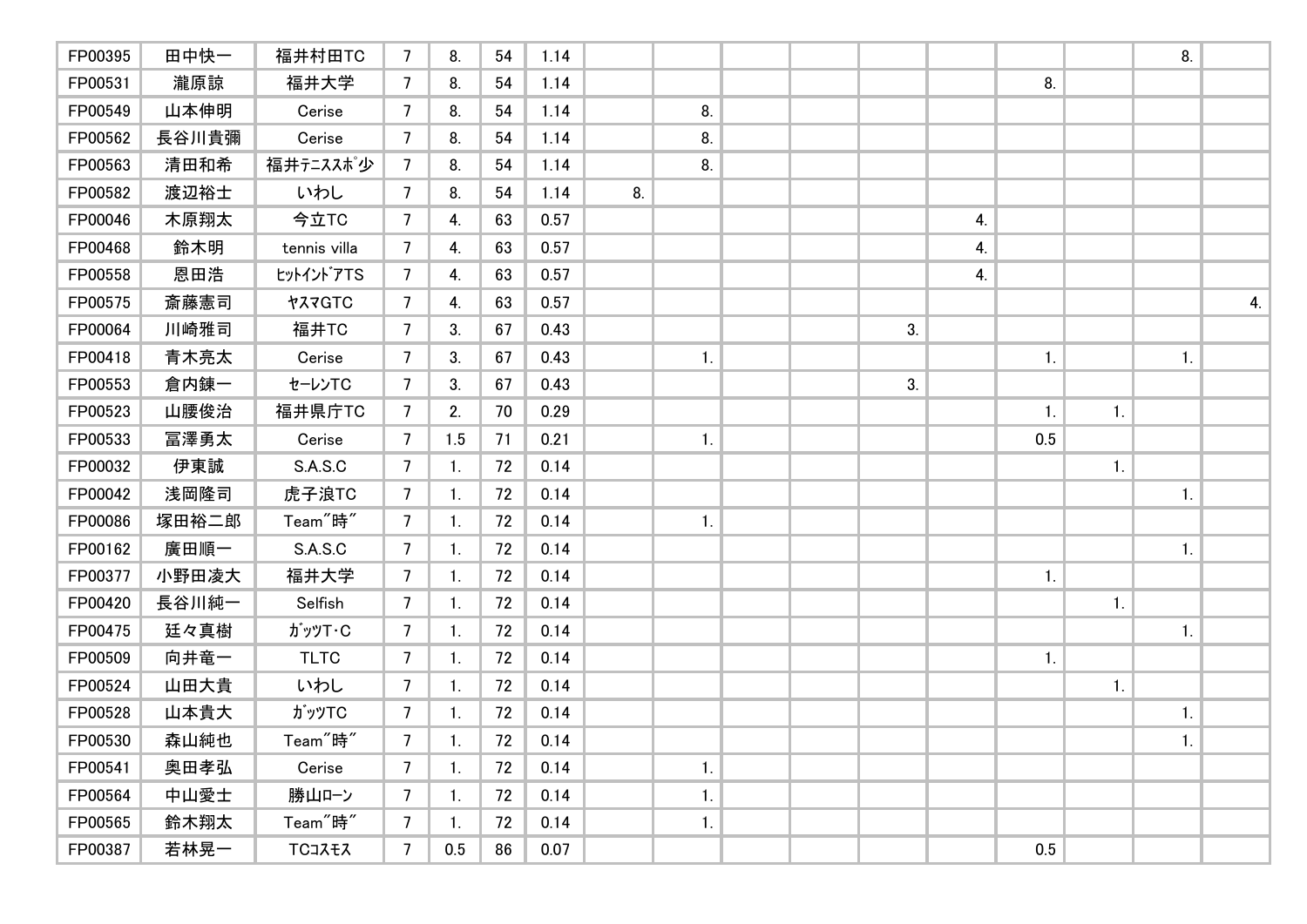| FP00395 | 田中快一  | 福井村田TC               | $\overline{7}$ | 8.             | 54 | 1.14 |    |    |  |    |    |                |                | 8. |    |
|---------|-------|----------------------|----------------|----------------|----|------|----|----|--|----|----|----------------|----------------|----|----|
| FP00531 | 瀧原諒   | 福井大学                 | 7              | 8.             | 54 | 1.14 |    |    |  |    |    | 8.             |                |    |    |
| FP00549 | 山本伸明  | Cerise               | 7              | 8.             | 54 | 1.14 |    | 8. |  |    |    |                |                |    |    |
| FP00562 | 長谷川貴彌 | Cerise               | 7              | 8.             | 54 | 1.14 |    | 8. |  |    |    |                |                |    |    |
| FP00563 | 清田和希  | 福井テニススポ少             | 7              | 8.             | 54 | 1.14 |    | 8. |  |    |    |                |                |    |    |
| FP00582 | 渡辺裕士  | いわし                  | 7              | 8.             | 54 | 1.14 | 8. |    |  |    |    |                |                |    |    |
| FP00046 | 木原翔太  | 今立TC                 | 7              | 4.             | 63 | 0.57 |    |    |  |    | 4. |                |                |    |    |
| FP00468 | 鈴木明   | tennis villa         | 7              | 4.             | 63 | 0.57 |    |    |  |    | 4. |                |                |    |    |
| FP00558 | 恩田浩   | tットイントアTS            | 7              | 4.             | 63 | 0.57 |    |    |  |    | 4. |                |                |    |    |
| FP00575 | 斎藤憲司  | ヤスマGTC               | 7              | 4.             | 63 | 0.57 |    |    |  |    |    |                |                |    | 4. |
| FP00064 | 川崎雅司  | 福井TC                 | 7              | 3.             | 67 | 0.43 |    |    |  | 3. |    |                |                |    |    |
| FP00418 | 青木亮太  | Cerise               | 7              | 3.             | 67 | 0.43 |    | 1. |  |    |    | 1.             |                | 1. |    |
| FP00553 | 倉内錬一  | セーレンTC               | 7              | 3.             | 67 | 0.43 |    |    |  | 3. |    |                |                |    |    |
| FP00523 | 山腰俊治  | 福井県庁TC               | $\overline{7}$ | 2.             | 70 | 0.29 |    |    |  |    |    | $\mathbf{1}$ . | $\mathbf{1}$ . |    |    |
| FP00533 | 冨澤勇太  | Cerise               | $\overline{7}$ | 1.5            | 71 | 0.21 |    | 1. |  |    |    | 0.5            |                |    |    |
| FP00032 | 伊東誠   | S.A.S.C              | $\overline{7}$ | 1.             | 72 | 0.14 |    |    |  |    |    |                | 1.             |    |    |
| FP00042 | 浅岡隆司  | 虎子浪TC                | $\overline{7}$ | 1.             | 72 | 0.14 |    |    |  |    |    |                |                | 1. |    |
| FP00086 | 塚田裕二郎 | Team <sup>"</sup> 時" | $\overline{7}$ | $\mathbf{1}$ . | 72 | 0.14 |    | 1. |  |    |    |                |                |    |    |
| FP00162 | 廣田順一  | S.A.S.C              | 7              | 1.             | 72 | 0.14 |    |    |  |    |    |                |                | 1. |    |
| FP00377 | 小野田凌大 | 福井大学                 | 7              | 1.             | 72 | 0.14 |    |    |  |    |    | 1.             |                |    |    |
| FP00420 | 長谷川純一 | Selfish              | 7              | 1.             | 72 | 0.14 |    |    |  |    |    |                | $\mathbf{1}$ . |    |    |
| FP00475 | 廷々真樹  | <b>ガッツT・C</b>        | 7              | 1.             | 72 | 0.14 |    |    |  |    |    |                |                | 1. |    |
| FP00509 | 向井竜一  | <b>TLTC</b>          | 7              | 1.             | 72 | 0.14 |    |    |  |    |    | 1.             |                |    |    |
| FP00524 | 山田大貴  | いわし                  | 7              | 1.             | 72 | 0.14 |    |    |  |    |    |                | $\mathbf{1}$ . |    |    |
| FP00528 | 山本貴大  | <b>ガッツTC</b>         | $\overline{7}$ | $\mathbf{1}$ . | 72 | 0.14 |    |    |  |    |    |                |                | 1. |    |
| FP00530 | 森山純也  | Team <sup>"</sup> 時" | 7 <sup>7</sup> | 1.             | 72 | 0.14 |    |    |  |    |    |                |                | 1. |    |
| FP00541 | 奥田孝弘  | Cerise               | 7              | 1.             | 72 | 0.14 |    | 1. |  |    |    |                |                |    |    |
| FP00564 | 中山愛士  | 勝山ローン                | $\overline{7}$ | 1.             | 72 | 0.14 |    | 1. |  |    |    |                |                |    |    |
| FP00565 | 鈴木翔太  | Team <sup>"</sup> 時" | 7              | $\mathbf{1}$ . | 72 | 0.14 |    | 1. |  |    |    |                |                |    |    |
| FP00387 | 若林晃一  | TCコスモス               | 7              | 0.5            | 86 | 0.07 |    |    |  |    |    | 0.5            |                |    |    |